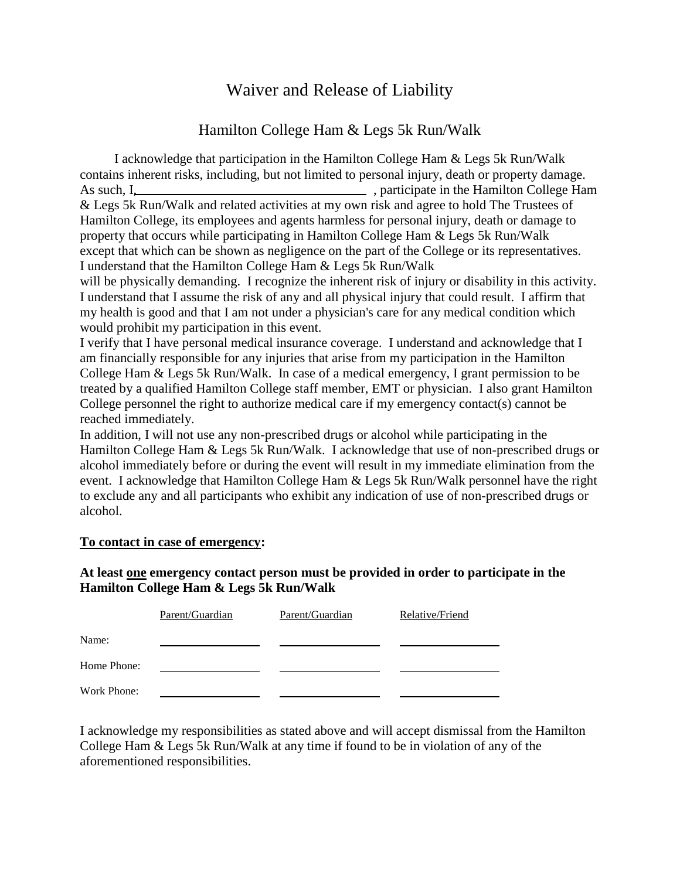## Waiver and Release of Liability

## Hamilton College Ham & Legs 5k Run/Walk

I acknowledge that participation in the Hamilton College Ham & Legs 5k Run/Walk contains inherent risks, including, but not limited to personal injury, death or property damage. As such, I, the Hamilton College Ham & Legs 5k Run/Walk and related activities at my own risk and agree to hold The Trustees of Hamilton College, its employees and agents harmless for personal injury, death or damage to property that occurs while participating in Hamilton College Ham & Legs 5k Run/Walk except that which can be shown as negligence on the part of the College or its representatives. I understand that the Hamilton College Ham & Legs 5k Run/Walk

will be physically demanding. I recognize the inherent risk of injury or disability in this activity. I understand that I assume the risk of any and all physical injury that could result. I affirm that my health is good and that I am not under a physician's care for any medical condition which would prohibit my participation in this event.

I verify that I have personal medical insurance coverage. I understand and acknowledge that I am financially responsible for any injuries that arise from my participation in the Hamilton College Ham & Legs 5k Run/Walk. In case of a medical emergency, I grant permission to be treated by a qualified Hamilton College staff member, EMT or physician. I also grant Hamilton College personnel the right to authorize medical care if my emergency contact(s) cannot be reached immediately.

In addition, I will not use any non-prescribed drugs or alcohol while participating in the Hamilton College Ham & Legs 5k Run/Walk. I acknowledge that use of non-prescribed drugs or alcohol immediately before or during the event will result in my immediate elimination from the event. I acknowledge that Hamilton College Ham & Legs 5k Run/Walk personnel have the right to exclude any and all participants who exhibit any indication of use of non-prescribed drugs or alcohol.

## **To contact in case of emergency:**

## **At least one emergency contact person must be provided in order to participate in the Hamilton College Ham & Legs 5k Run/Walk**

|             | Parent/Guardian | Parent/Guardian | Relative/Friend |
|-------------|-----------------|-----------------|-----------------|
| Name:       |                 |                 |                 |
| Home Phone: |                 |                 |                 |
| Work Phone: |                 |                 |                 |

I acknowledge my responsibilities as stated above and will accept dismissal from the Hamilton College Ham & Legs 5k Run/Walk at any time if found to be in violation of any of the aforementioned responsibilities.